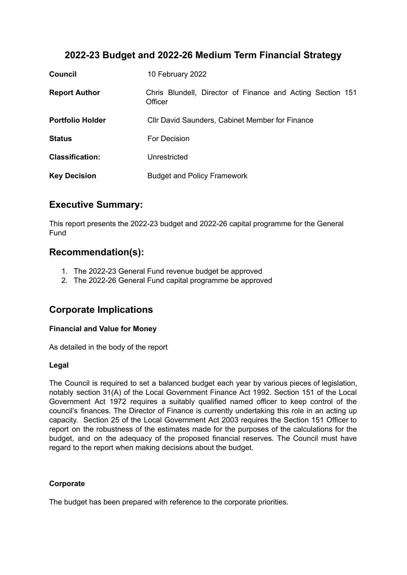# **2022-23 Budget and 2022-26 Medium Term Financial Strategy**

| <b>Council</b>          | 10 February 2022                                                      |  |  |  |
|-------------------------|-----------------------------------------------------------------------|--|--|--|
| <b>Report Author</b>    | Chris Blundell, Director of Finance and Acting Section 151<br>Officer |  |  |  |
| <b>Portfolio Holder</b> | Cllr David Saunders, Cabinet Member for Finance                       |  |  |  |
| <b>Status</b>           | For Decision                                                          |  |  |  |
| <b>Classification:</b>  | Unrestricted                                                          |  |  |  |
| <b>Key Decision</b>     | <b>Budget and Policy Framework</b>                                    |  |  |  |

## **Executive Summary:**

This report presents the 2022-23 budget and 2022-26 capital programme for the General Fund

## **Recommendation(s):**

- 1. The 2022-23 General Fund revenue budget be approved
- 2. The 2022-26 General Fund capital programme be approved

## **Corporate Implications**

### **Financial and Value for Money**

As detailed in the body of the report

### **Legal**

The Council is required to set a balanced budget each year by various pieces of legislation, notably section 31(A) of the Local Government Finance Act 1992. Section 151 of the Local Government Act 1972 requires a suitably qualified named officer to keep control of the council's finances. The Director of Finance is currently undertaking this role in an acting up capacity. Section 25 of the Local Government Act 2003 requires the Section 151 Officer to report on the robustness of the estimates made for the purposes of the calculations for the budget, and on the adequacy of the proposed financial reserves. The Council must have regard to the report when making decisions about the budget.

### **Corporate**

The budget has been prepared with reference to the corporate priorities.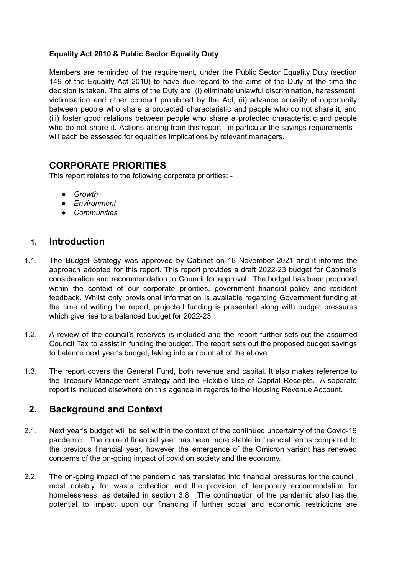### **Equality Act 2010 & Public Sector Equality Duty**

Members are reminded of the requirement, under the Public Sector Equality Duty (section 149 of the Equality Act 2010) to have due regard to the aims of the Duty at the time the decision is taken. The aims of the Duty are: (i) eliminate unlawful discrimination, harassment, victimisation and other conduct prohibited by the Act, (ii) advance equality of opportunity between people who share a protected characteristic and people who do not share it, and (iii) foster good relations between people who share a protected characteristic and people who do not share it. Actions arising from this report - in particular the savings requirements will each be assessed for equalities implications by relevant managers.

## **CORPORATE PRIORITIES**

This report relates to the following corporate priorities: -

- *● Growth*
- *● Environment*
- *● Communities*

## **1. Introduction**

- 1.1. The Budget Strategy was approved by Cabinet on 18 November 2021 and it informs the approach adopted for this report. This report provides a draft 2022-23 budget for Cabinet's consideration and recommendation to Council for approval. The budget has been produced within the context of our corporate priorities, government financial policy and resident feedback. Whilst only provisional information is available regarding Government funding at the time of writing the report, projected funding is presented along with budget pressures which give rise to a balanced budget for 2022-23.
- 1.2. A review of the council's reserves is included and the report further sets out the assumed Council Tax to assist in funding the budget. The report sets out the proposed budget savings to balance next year's budget, taking into account all of the above.
- 1.3. The report covers the General Fund, both revenue and capital. It also makes reference to the Treasury Management Strategy and the Flexible Use of Capital Receipts. A separate report is included elsewhere on this agenda in regards to the Housing Revenue Account.

# **2. Background and Context**

- 2.1. Next year's budget will be set within the context of the continued uncertainty of the Covid-19 pandemic*.* The current financial year has been more stable in financial terms compared to the previous financial year, however the emergence of the Omicron variant has renewed concerns of the on-going impact of covid on society and the economy.
- 2.2. The on-going impact of the pandemic has translated into financial pressures for the council, most notably for waste collection and the provision of temporary accommodation for homelessness, as detailed in section 3.8. The continuation of the pandemic also has the potential to impact upon our financing if further social and economic restrictions are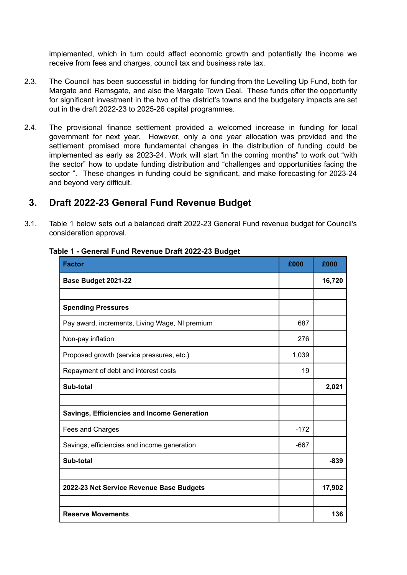implemented, which in turn could affect economic growth and potentially the income we receive from fees and charges, council tax and business rate tax.

- 2.3. The Council has been successful in bidding for funding from the Levelling Up Fund, both for Margate and Ramsgate, and also the Margate Town Deal. These funds offer the opportunity for significant investment in the two of the district's towns and the budgetary impacts are set out in the draft 2022-23 to 2025-26 capital programmes.
- 2.4. The provisional finance settlement provided a welcomed increase in funding for local government for next year. However, only a one year allocation was provided and the settlement promised more fundamental changes in the distribution of funding could be implemented as early as 2023-24. Work will start "in the coming months" to work out "with the sector" how to update funding distribution and "challenges and opportunities facing the sector ". These changes in funding could be significant, and make forecasting for 2023-24 and beyond very difficult.

## **3. Draft 2022-23 General Fund Revenue Budget**

3.1. Table 1 below sets out a balanced draft 2022-23 General Fund revenue budget for Council's consideration approval.

| <b>Factor</b>                                  | £000   | £000   |
|------------------------------------------------|--------|--------|
| Base Budget 2021-22                            |        | 16,720 |
|                                                |        |        |
| <b>Spending Pressures</b>                      |        |        |
| Pay award, increments, Living Wage, NI premium | 687    |        |
| Non-pay inflation                              | 276    |        |
| Proposed growth (service pressures, etc.)      | 1,039  |        |
| Repayment of debt and interest costs           | 19     |        |
| Sub-total                                      |        | 2,021  |
|                                                |        |        |
| Savings, Efficiencies and Income Generation    |        |        |
| Fees and Charges                               | $-172$ |        |
| Savings, efficiencies and income generation    | $-667$ |        |
| Sub-total                                      |        | $-839$ |
|                                                |        |        |
| 2022-23 Net Service Revenue Base Budgets       |        | 17,902 |
|                                                |        |        |
| <b>Reserve Movements</b>                       |        | 136    |

#### **Table 1 - General Fund Revenue Draft 2022-23 Budget**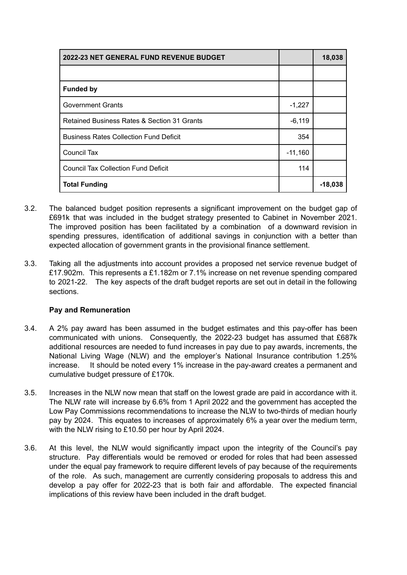| <b>2022-23 NET GENERAL FUND REVENUE BUDGET</b> |           | 18,038    |
|------------------------------------------------|-----------|-----------|
|                                                |           |           |
| <b>Funded by</b>                               |           |           |
| <b>Government Grants</b>                       | $-1,227$  |           |
| Retained Business Rates & Section 31 Grants    | $-6,119$  |           |
| <b>Business Rates Collection Fund Deficit</b>  | 354       |           |
| Council Tax                                    | $-11,160$ |           |
| <b>Council Tax Collection Fund Deficit</b>     | 114       |           |
| <b>Total Funding</b>                           |           | $-18,038$ |

- 3.2. The balanced budget position represents a significant improvement on the budget gap of £691k that was included in the budget strategy presented to Cabinet in November 2021. The improved position has been facilitated by a combination of a downward revision in spending pressures, identification of additional savings in conjunction with a better than expected allocation of government grants in the provisional finance settlement.
- 3.3. Taking all the adjustments into account provides a proposed net service revenue budget of £17.902m. This represents a £1.182m or 7.1% increase on net revenue spending compared to 2021-22. The key aspects of the draft budget reports are set out in detail in the following sections.

### **Pay and Remuneration**

- 3.4. A 2% pay award has been assumed in the budget estimates and this pay-offer has been communicated with unions. Consequently, the 2022-23 budget has assumed that £687k additional resources are needed to fund increases in pay due to pay awards, increments, the National Living Wage (NLW) and the employer's National Insurance contribution 1.25% increase. It should be noted every 1% increase in the pay-award creates a permanent and cumulative budget pressure of £170k.
- 3.5. Increases in the NLW now mean that staff on the lowest grade are paid in accordance with it. The NLW rate will increase by 6.6% from 1 April 2022 and the government has accepted the Low Pay Commissions recommendations to increase the NLW to two-thirds of median hourly pay by 2024. This equates to increases of approximately 6% a year over the medium term, with the NLW rising to £10.50 per hour by April 2024.
- 3.6. At this level, the NLW would significantly impact upon the integrity of the Council's pay structure. Pay differentials would be removed or eroded for roles that had been assessed under the equal pay framework to require different levels of pay because of the requirements of the role. As such, management are currently considering proposals to address this and develop a pay offer for 2022-23 that is both fair and affordable. The expected financial implications of this review have been included in the draft budget.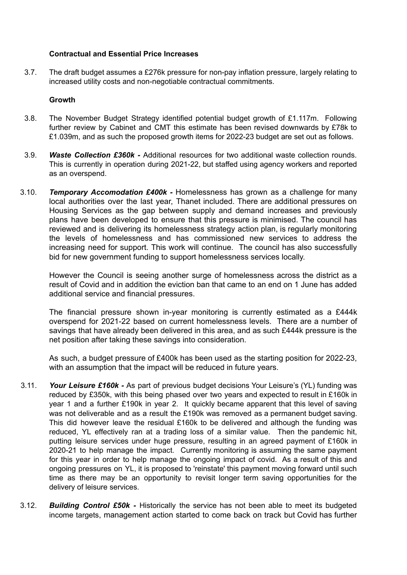#### **Contractual and Essential Price Increases**

3.7. The draft budget assumes a £276k pressure for non-pay inflation pressure, largely relating to increased utility costs and non-negotiable contractual commitments.

#### **Growth**

- 3.8. The November Budget Strategy identified potential budget growth of £1.117m. Following further review by Cabinet and CMT this estimate has been revised downwards by £78k to £1.039m, and as such the proposed growth items for 2022-23 budget are set out as follows.
- 3.9. *Waste Collection £360k -* Additional resources for two additional waste collection rounds. This is currently in operation during 2021-22, but staffed using agency workers and reported as an overspend.
- 3.10. *Temporary Accomodation £400k -* Homelessness has grown as a challenge for many local authorities over the last year, Thanet included. There are additional pressures on Housing Services as the gap between supply and demand increases and previously plans have been developed to ensure that this pressure is minimised. The council has reviewed and is delivering its homelessness strategy action plan, is regularly monitoring the levels of homelessness and has commissioned new services to address the increasing need for support. This work will continue. The council has also successfully bid for new government funding to support homelessness services locally.

However the Council is seeing another surge of homelessness across the district as a result of Covid and in addition the eviction ban that came to an end on 1 June has added additional service and financial pressures.

The financial pressure shown in-year monitoring is currently estimated as a £444k overspend for 2021-22 based on current homelessness levels. There are a number of savings that have already been delivered in this area, and as such £444k pressure is the net position after taking these savings into consideration.

As such, a budget pressure of £400k has been used as the starting position for 2022-23, with an assumption that the impact will be reduced in future years.

- 3.11. *Your Leisure £160k -* As part of previous budget decisions Your Leisure's (YL) funding was reduced by £350k, with this being phased over two years and expected to result in £160k in year 1 and a further £190k in year 2. It quickly became apparent that this level of saving was not deliverable and as a result the £190k was removed as a permanent budget saving. This did however leave the residual £160k to be delivered and although the funding was reduced, YL effectively ran at a trading loss of a similar value. Then the pandemic hit, putting leisure services under huge pressure, resulting in an agreed payment of £160k in 2020-21 to help manage the impact. Currently monitoring is assuming the same payment for this year in order to help manage the ongoing impact of covid. As a result of this and ongoing pressures on YL, it is proposed to 'reinstate' this payment moving forward until such time as there may be an opportunity to revisit longer term saving opportunities for the delivery of leisure services.
- 3.12. *Building Control £50k -* Historically the service has not been able to meet its budgeted income targets, management action started to come back on track but Covid has further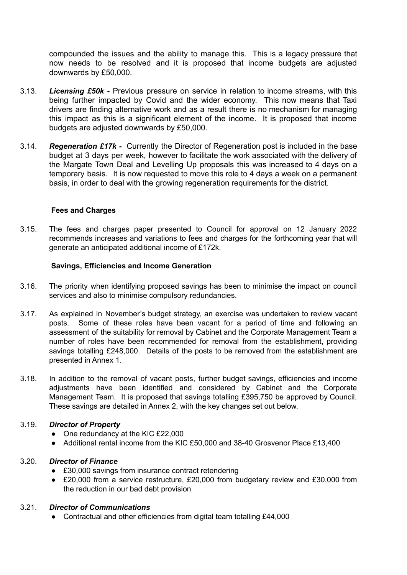compounded the issues and the ability to manage this. This is a legacy pressure that now needs to be resolved and it is proposed that income budgets are adjusted downwards by £50,000.

- 3.13. *Licensing £50k -* Previous pressure on service in relation to income streams, with this being further impacted by Covid and the wider economy. This now means that Taxi drivers are finding alternative work and as a result there is no mechanism for managing this impact as this is a significant element of the income. It is proposed that income budgets are adjusted downwards by £50,000.
- 3.14. *Regeneration £17k -* Currently the Director of Regeneration post is included in the base budget at 3 days per week, however to facilitate the work associated with the delivery of the Margate Town Deal and Levelling Up proposals this was increased to 4 days on a temporary basis. It is now requested to move this role to 4 days a week on a permanent basis, in order to deal with the growing regeneration requirements for the district.

#### **Fees and Charges**

3.15. The fees and charges paper presented to Council for approval on 12 January 2022 recommends increases and variations to fees and charges for the forthcoming year that will generate an anticipated additional income of £172k.

#### **Savings, Efficiencies and Income Generation**

- 3.16. The priority when identifying proposed savings has been to minimise the impact on council services and also to minimise compulsory redundancies.
- 3.17. As explained in November's budget strategy, an exercise was undertaken to review vacant posts. Some of these roles have been vacant for a period of time and following an assessment of the suitability for removal by Cabinet and the Corporate Management Team a number of roles have been recommended for removal from the establishment, providing savings totalling £248,000. Details of the posts to be removed from the establishment are presented in Annex 1.
- 3.18. In addition to the removal of vacant posts, further budget savings, efficiencies and income adjustments have been identified and considered by Cabinet and the Corporate Management Team. It is proposed that savings totalling £395,750 be approved by Council. These savings are detailed in Annex 2, with the key changes set out below.

#### 3.19. *Director of Property*

- One redundancy at the KIC £22,000
- Additional rental income from the KIC £50,000 and 38-40 Grosvenor Place £13,400

### 3.20. *Director of Finance*

- £30,000 savings from insurance contract retendering
- £20,000 from a service restructure, £20,000 from budgetary review and £30,000 from the reduction in our bad debt provision

## 3.21. *Director of Communications*

● Contractual and other efficiencies from digital team totalling £44,000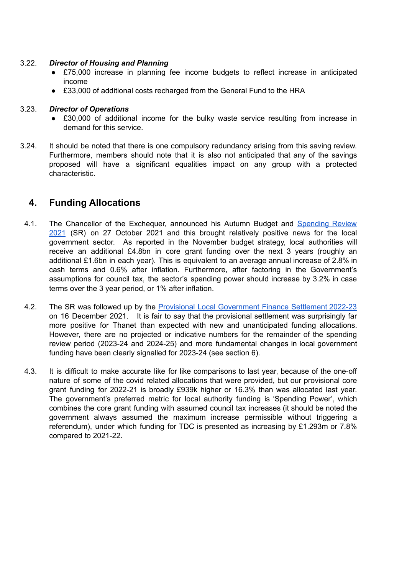#### 3.22. *Director of Housing and Planning*

- £75,000 increase in planning fee income budgets to reflect increase in anticipated income
- £33,000 of additional costs recharged from the General Fund to the HRA

#### 3.23. *Director of Operations*

- £30,000 of additional income for the bulky waste service resulting from increase in demand for this service.
- 3.24. It should be noted that there is one compulsory redundancy arising from this saving review. Furthermore, members should note that it is also not anticipated that any of the savings proposed will have a significant equalities impact on any group with a protected characteristic.

## **4. Funding Allocations**

- 4.1. The Chancellor of the Exchequer, announced his Autumn Budget and [Spending](https://www.gov.uk/government/publications/autumn-budget-and-spending-review-2021-documents) Review [2021](https://www.gov.uk/government/publications/autumn-budget-and-spending-review-2021-documents) (SR) on 27 October 2021 and this brought relatively positive news for the local government sector. As reported in the November budget strategy, local authorities will receive an additional £4.8bn in core grant funding over the next 3 years (roughly an additional £1.6bn in each year). This is equivalent to an average annual increase of 2.8% in cash terms and 0.6% after inflation. Furthermore, after factoring in the Government's assumptions for council tax, the sector's spending power should increase by 3.2% in case terms over the 3 year period, or 1% after inflation.
- 4.2. The SR was followed up by the Provisional Local [Government](https://www.gov.uk/government/collections/provisional-local-government-finance-settlement-england-2022-to-2023) Finance Settlement 2022-23 on 16 December 2021. It is fair to say that the provisional settlement was surprisingly far more positive for Thanet than expected with new and unanticipated funding allocations. However, there are no projected or indicative numbers for the remainder of the spending review period (2023-24 and 2024-25) and more fundamental changes in local government funding have been clearly signalled for 2023-24 (see section 6).
- 4.3. It is difficult to make accurate like for like comparisons to last year, because of the one-off nature of some of the covid related allocations that were provided, but our provisional core grant funding for 2022-21 is broadly £939k higher or 16.3% than was allocated last year. The government's preferred metric for local authority funding is 'Spending Power', which combines the core grant funding with assumed council tax increases (it should be noted the government always assumed the maximum increase permissible without triggering a referendum), under which funding for TDC is presented as increasing by £1.293m or 7.8% compared to 2021-22.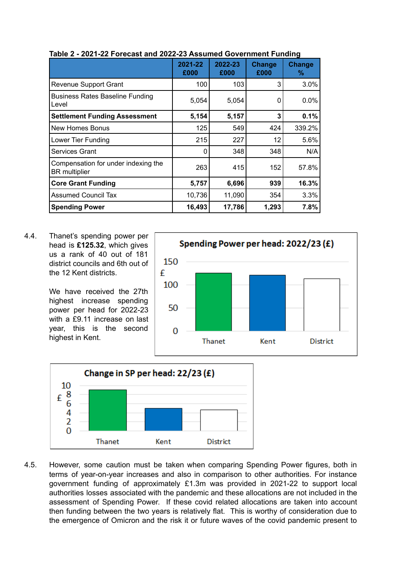|                                                             | 2021-22<br>£000 | 2022-23<br>£000 | Change<br>£000 | Change<br>% |
|-------------------------------------------------------------|-----------------|-----------------|----------------|-------------|
| <b>Revenue Support Grant</b>                                | 100             | 103             | 3              | 3.0%        |
| <b>Business Rates Baseline Funding</b><br>l Level           | 5,054           | 5,054           | 0              | 0.0%        |
| <b>Settlement Funding Assessment</b>                        | 5,154           | 5,157           | 3              | 0.1%        |
| l New Homes Bonus                                           | 125             | 549             | 424            | 339.2%      |
| Lower Tier Funding                                          | 215             | 227             | 12             | 5.6%        |
| <b>Services Grant</b>                                       | 0               | 348             | 348            | N/A         |
| Compensation for under indexing the<br><b>BR</b> multiplier | 263             | 415             | 152            | 57.8%       |
| <b>Core Grant Funding</b>                                   | 5,757           | 6,696           | 939            | 16.3%       |
| <b>Assumed Council Tax</b>                                  | 10,736          | 11,090          | 354            | 3.3%        |
| <b>Spending Power</b>                                       | 16,493          | 17,786          | 1,293          | 7.8%        |

#### **Table 2 - 2021-22 Forecast and 2022-23 Assumed Government Funding**

4.4. Thanet's spending power per head is **£125.32**, which gives us a rank of 40 out of 181 district councils and 6th out of the 12 Kent districts.

> We have received the 27th highest increase spending power per head for 2022-23 with a £9.11 increase on last year, this is the second highest in Kent.





4.5. However, some caution must be taken when comparing Spending Power figures, both in terms of year-on-year increases and also in comparison to other authorities. For instance government funding of approximately £1.3m was provided in 2021-22 to support local authorities losses associated with the pandemic and these allocations are not included in the assessment of Spending Power. If these covid related allocations are taken into account then funding between the two years is relatively flat. This is worthy of consideration due to the emergence of Omicron and the risk it or future waves of the covid pandemic present to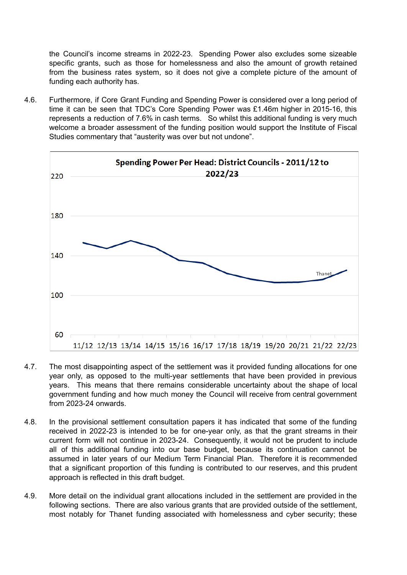the Council's income streams in 2022-23. Spending Power also excludes some sizeable specific grants, such as those for homelessness and also the amount of growth retained from the business rates system, so it does not give a complete picture of the amount of funding each authority has.

4.6. Furthermore, if Core Grant Funding and Spending Power is considered over a long period of time it can be seen that TDC's Core Spending Power was £1.46m higher in 2015-16, this represents a reduction of 7.6% in cash terms. So whilst this additional funding is very much welcome a broader assessment of the funding position would support the Institute of Fiscal Studies commentary that "austerity was over but not undone".



- 4.7. The most disappointing aspect of the settlement was it provided funding allocations for one year only, as opposed to the multi-year settlements that have been provided in previous years. This means that there remains considerable uncertainty about the shape of local government funding and how much money the Council will receive from central government from 2023-24 onwards.
- 4.8. In the provisional settlement consultation papers it has indicated that some of the funding received in 2022-23 is intended to be for one-year only, as that the grant streams in their current form will not continue in 2023-24. Consequently, it would not be prudent to include all of this additional funding into our base budget, because its continuation cannot be assumed in later years of our Medium Term Financial Plan. Therefore it is recommended that a significant proportion of this funding is contributed to our reserves, and this prudent approach is reflected in this draft budget.
- 4.9. More detail on the individual grant allocations included in the settlement are provided in the following sections. There are also various grants that are provided outside of the settlement. most notably for Thanet funding associated with homelessness and cyber security; these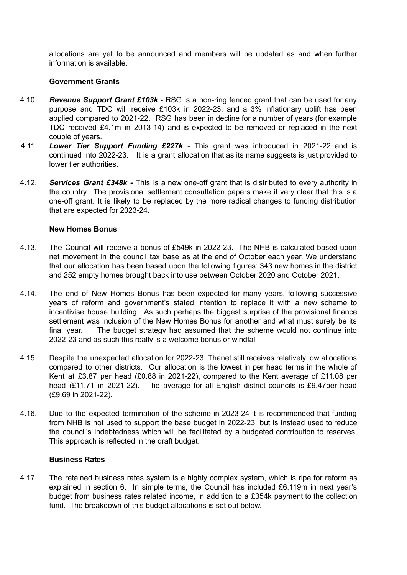allocations are yet to be announced and members will be updated as and when further information is available.

#### **Government Grants**

- 4.10. *Revenue Support Grant £103k -* RSG is a non-ring fenced grant that can be used for any purpose and TDC will receive £103k in 2022-23, and a 3% inflationary uplift has been applied compared to 2021-22. RSG has been in decline for a number of years (for example TDC received £4.1m in 2013-14) and is expected to be removed or replaced in the next couple of years.
- 4.11. *Lower Tier Support Funding £227k -* This grant was introduced in 2021-22 and is continued into 2022-23. It is a grant allocation that as its name suggests is just provided to lower tier authorities.
- 4.12. *Services Grant £348k -* This is a new one-off grant that is distributed to every authority in the country. The provisional settlement consultation papers make it very clear that this is a one-off grant. It is likely to be replaced by the more radical changes to funding distribution that are expected for 2023-24.

#### **New Homes Bonus**

- 4.13. The Council will receive a bonus of £549k in 2022-23. The NHB is calculated based upon net movement in the council tax base as at the end of October each year. We understand that our allocation has been based upon the following figures: 343 new homes in the district and 252 empty homes brought back into use between October 2020 and October 2021.
- 4.14. The end of New Homes Bonus has been expected for many years, following successive years of reform and government's stated intention to replace it with a new scheme to incentivise house building. As such perhaps the biggest surprise of the provisional finance settlement was inclusion of the New Homes Bonus for another and what must surely be its final year. The budget strategy had assumed that the scheme would not continue into 2022-23 and as such this really is a welcome bonus or windfall.
- 4.15. Despite the unexpected allocation for 2022-23, Thanet still receives relatively low allocations compared to other districts. Our allocation is the lowest in per head terms in the whole of Kent at £3.87 per head (£0.88 in 2021-22), compared to the Kent average of £11.08 per head (£11.71 in 2021-22). The average for all English district councils is £9.47per head (£9.69 in 2021-22).
- 4.16. Due to the expected termination of the scheme in 2023-24 it is recommended that funding from NHB is not used to support the base budget in 2022-23, but is instead used to reduce the council's indebtedness which will be facilitated by a budgeted contribution to reserves. This approach is reflected in the draft budget.

#### **Business Rates**

4.17. The retained business rates system is a highly complex system, which is ripe for reform as explained in section 6. In simple terms, the Council has included £6.119m in next year's budget from business rates related income, in addition to a £354k payment to the collection fund. The breakdown of this budget allocations is set out below.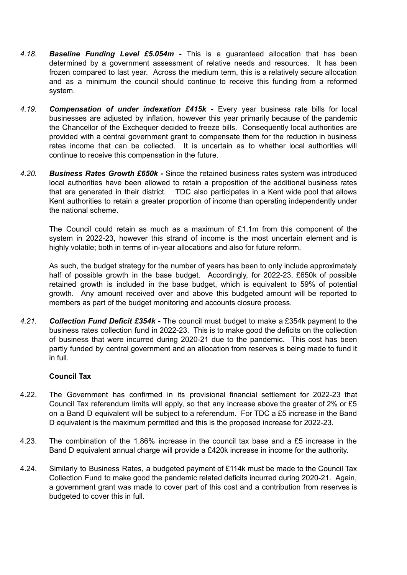- *4.18. Baseline Funding Level £5.054m -* This is a guaranteed allocation that has been determined by a government assessment of relative needs and resources. It has been frozen compared to last year. Across the medium term, this is a relatively secure allocation and as a minimum the council should continue to receive this funding from a reformed system.
- *4.19. Compensation of under indexation £415k -* Every year business rate bills for local businesses are adjusted by inflation, however this year primarily because of the pandemic the Chancellor of the Exchequer decided to freeze bills. Consequently local authorities are provided with a central government grant to compensate them for the reduction in business rates income that can be collected. It is uncertain as to whether local authorities will continue to receive this compensation in the future.
- *4.20. Business Rates Growth £650k -* Since the retained business rates system was introduced local authorities have been allowed to retain a proposition of the additional business rates that are generated in their district. TDC also participates in a Kent wide pool that allows Kent authorities to retain a greater proportion of income than operating independently under the national scheme.

The Council could retain as much as a maximum of £1.1m from this component of the system in 2022-23, however this strand of income is the most uncertain element and is highly volatile; both in terms of in-year allocations and also for future reform.

As such, the budget strategy for the number of years has been to only include approximately half of possible growth in the base budget. Accordingly, for 2022-23, £650k of possible retained growth is included in the base budget, which is equivalent to 59% of potential growth. Any amount received over and above this budgeted amount will be reported to members as part of the budget monitoring and accounts closure process.

*4.21. Collection Fund Deficit £354k* **-** The council must budget to make a £354k payment to the business rates collection fund in 2022-23. This is to make good the deficits on the collection of business that were incurred during 2020-21 due to the pandemic. This cost has been partly funded by central government and an allocation from reserves is being made to fund it in full.

#### **Council Tax**

- 4.22. The Government has confirmed in its provisional financial settlement for 2022-23 that Council Tax referendum limits will apply, so that any increase above the greater of 2% or £5 on a Band D equivalent will be subject to a referendum. For TDC a £5 increase in the Band D equivalent is the maximum permitted and this is the proposed increase for 2022-23.
- 4.23. The combination of the 1.86% increase in the council tax base and a £5 increase in the Band D equivalent annual charge will provide a £420k increase in income for the authority.
- 4.24. Similarly to Business Rates, a budgeted payment of £114k must be made to the Council Tax Collection Fund to make good the pandemic related deficits incurred during 2020-21. Again, a government grant was made to cover part of this cost and a contribution from reserves is budgeted to cover this in full.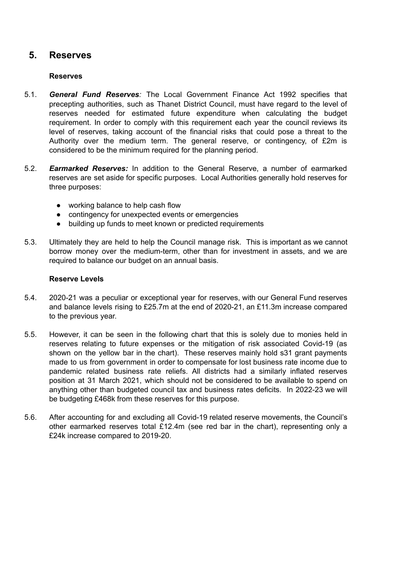## **5. Reserves**

#### **Reserves**

- 5.1. *General Fund Reserves:* The Local Government Finance Act 1992 specifies that precepting authorities, such as Thanet District Council, must have regard to the level of reserves needed for estimated future expenditure when calculating the budget requirement. In order to comply with this requirement each year the council reviews its level of reserves, taking account of the financial risks that could pose a threat to the Authority over the medium term. The general reserve, or contingency, of £2m is considered to be the minimum required for the planning period.
- 5.2. *Earmarked Reserves:* In addition to the General Reserve, a number of earmarked reserves are set aside for specific purposes. Local Authorities generally hold reserves for three purposes:
	- working balance to help cash flow
	- contingency for unexpected events or emergencies
	- building up funds to meet known or predicted requirements
- 5.3. Ultimately they are held to help the Council manage risk. This is important as we cannot borrow money over the medium-term, other than for investment in assets, and we are required to balance our budget on an annual basis.

#### **Reserve Levels**

- 5.4. 2020-21 was a peculiar or exceptional year for reserves, with our General Fund reserves and balance levels rising to £25.7m at the end of 2020-21, an £11.3m increase compared to the previous year.
- 5.5. However, it can be seen in the following chart that this is solely due to monies held in reserves relating to future expenses or the mitigation of risk associated Covid-19 (as shown on the yellow bar in the chart). These reserves mainly hold s31 grant payments made to us from government in order to compensate for lost business rate income due to pandemic related business rate reliefs. All districts had a similarly inflated reserves position at 31 March 2021, which should not be considered to be available to spend on anything other than budgeted council tax and business rates deficits. In 2022-23 we will be budgeting £468k from these reserves for this purpose.
- 5.6. After accounting for and excluding all Covid-19 related reserve movements, the Council's other earmarked reserves total £12.4m (see red bar in the chart), representing only a £24k increase compared to 2019-20.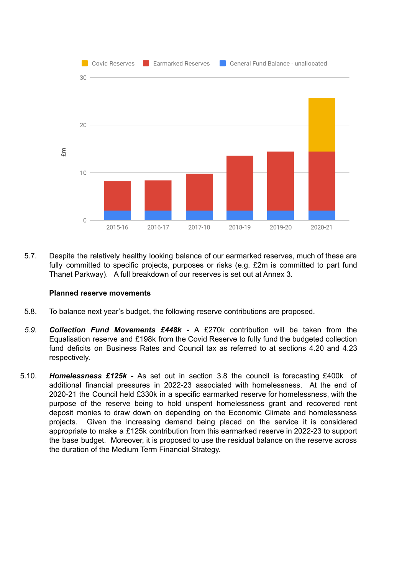

5.7. Despite the relatively healthy looking balance of our earmarked reserves, much of these are fully committed to specific projects, purposes or risks (e.g. £2m is committed to part fund Thanet Parkway). A full breakdown of our reserves is set out at Annex 3.

#### **Planned reserve movements**

- 5.8. To balance next year's budget, the following reserve contributions are proposed.
- *5.9. Collection Fund Movements £448k -* A £270k contribution will be taken from the Equalisation reserve and £198k from the Covid Reserve to fully fund the budgeted collection fund deficits on Business Rates and Council tax as referred to at sections 4.20 and 4.23 respectively.
- 5.10. *Homelessness £125k -* As set out in section 3.8 the council is forecasting £400k of additional financial pressures in 2022-23 associated with homelessness. At the end of 2020-21 the Council held £330k in a specific earmarked reserve for homelessness, with the purpose of the reserve being to hold unspent homelessness grant and recovered rent deposit monies to draw down on depending on the Economic Climate and homelessness projects. Given the increasing demand being placed on the service it is considered appropriate to make a £125k contribution from this earmarked reserve in 2022-23 to support the base budget. Moreover, it is proposed to use the residual balance on the reserve across the duration of the Medium Term Financial Strategy.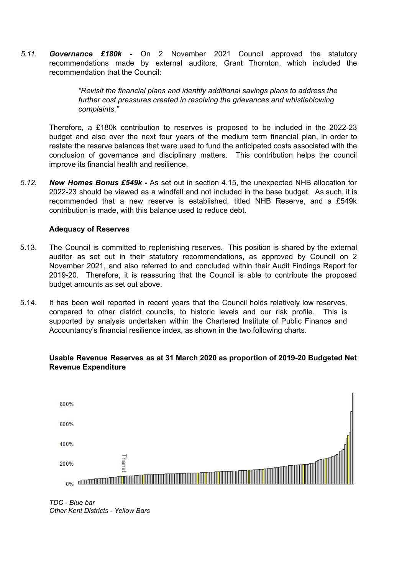*5.11. Governance £180k -* On 2 November 2021 Council approved the statutory recommendations made by external auditors, Grant Thornton, which included the recommendation that the Council:

> *"Revisit the financial plans and identify additional savings plans to address the further cost pressures created in resolving the grievances and whistleblowing complaints."*

Therefore, a £180k contribution to reserves is proposed to be included in the 2022-23 budget and also over the next four years of the medium term financial plan, in order to restate the reserve balances that were used to fund the anticipated costs associated with the conclusion of governance and disciplinary matters. This contribution helps the council improve its financial health and resilience.

*5.12. New Homes Bonus £549k -* As set out in section 4.15, the unexpected NHB allocation for 2022-23 should be viewed as a windfall and not included in the base budget. As such, it is recommended that a new reserve is established, titled NHB Reserve, and a £549k contribution is made, with this balance used to reduce debt.

#### **Adequacy of Reserves**

- 5.13. The Council is committed to replenishing reserves. This position is shared by the external auditor as set out in their statutory recommendations, as approved by Council on 2 November 2021, and also referred to and concluded within their Audit Findings Report for 2019-20. Therefore, it is reassuring that the Council is able to contribute the proposed budget amounts as set out above.
- 5.14. It has been well reported in recent years that the Council holds relatively low reserves, compared to other district councils, to historic levels and our risk profile. This is supported by analysis undertaken within the Chartered Institute of Public Finance and Accountancy's financial resilience index, as shown in the two following charts.

#### **Usable Revenue Reserves as at 31 March 2020 as proportion of 2019-20 Budgeted Net Revenue Expenditure**



*TDC - Blue bar Other Kent Districts - Yellow Bars*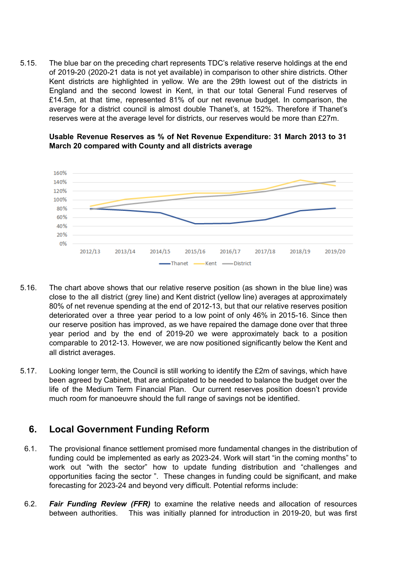5.15. The blue bar on the preceding chart represents TDC's relative reserve holdings at the end of 2019-20 (2020-21 data is not yet available) in comparison to other shire districts. Other Kent districts are highlighted in yellow. We are the 29th lowest out of the districts in England and the second lowest in Kent, in that our total General Fund reserves of £14.5m, at that time, represented 81% of our net revenue budget. In comparison, the average for a district council is almost double Thanet's, at 152%. Therefore if Thanet's reserves were at the average level for districts, our reserves would be more than £27m.

#### **Usable Revenue Reserves as % of Net Revenue Expenditure: 31 March 2013 to 31 March 20 compared with County and all districts average**



- 5.16. The chart above shows that our relative reserve position (as shown in the blue line) was close to the all district (grey line) and Kent district (yellow line) averages at approximately 80% of net revenue spending at the end of 2012-13, but that our relative reserves position deteriorated over a three year period to a low point of only 46% in 2015-16. Since then our reserve position has improved, as we have repaired the damage done over that three year period and by the end of 2019-20 we were approximately back to a position comparable to 2012-13. However, we are now positioned significantly below the Kent and all district averages.
- 5.17. Looking longer term, the Council is still working to identify the £2m of savings, which have been agreed by Cabinet, that are anticipated to be needed to balance the budget over the life of the Medium Term Financial Plan. Our current reserves position doesn't provide much room for manoeuvre should the full range of savings not be identified.

## **6. Local Government Funding Reform**

- 6.1. The provisional finance settlement promised more fundamental changes in the distribution of funding could be implemented as early as 2023-24. Work will start "in the coming months" to work out "with the sector" how to update funding distribution and "challenges and opportunities facing the sector ". These changes in funding could be significant, and make forecasting for 2023-24 and beyond very difficult. Potential reforms include:
- 6.2. *Fair Funding Review (FFR)* to examine the relative needs and allocation of resources between authorities. This was initially planned for introduction in 2019-20, but was first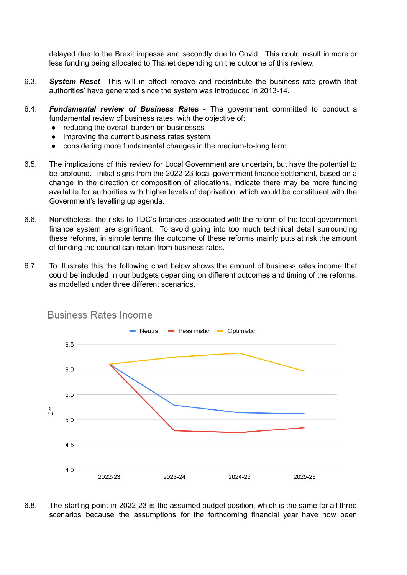delayed due to the Brexit impasse and secondly due to Covid. This could result in more or less funding being allocated to Thanet depending on the outcome of this review.

- 6.3. *System Reset* This will in effect remove and redistribute the business rate growth that authorities' have generated since the system was introduced in 2013-14.
- 6.4. *Fundamental review of Business Rates* The government committed to conduct a fundamental review of business rates, with the objective of:
	- reducing the overall burden on businesses
	- improving the current business rates system
	- considering more fundamental changes in the medium-to-long term
- 6.5. The implications of this review for Local Government are uncertain, but have the potential to be profound. Initial signs from the 2022-23 local government finance settlement, based on a change in the direction or composition of allocations, indicate there may be more funding available for authorities with higher levels of deprivation, which would be constituent with the Government's levelling up agenda.
- 6.6. Nonetheless, the risks to TDC's finances associated with the reform of the local government finance system are significant. To avoid going into too much technical detail surrounding these reforms, in simple terms the outcome of these reforms mainly puts at risk the amount of funding the council can retain from business rates.
- 6.7. To illustrate this the following chart below shows the amount of business rates income that could be included in our budgets depending on different outcomes and timing of the reforms, as modelled under three different scenarios.



## **Business Rates Income**

6.8. The starting point in 2022-23 is the assumed budget position, which is the same for all three scenarios because the assumptions for the forthcoming financial year have now been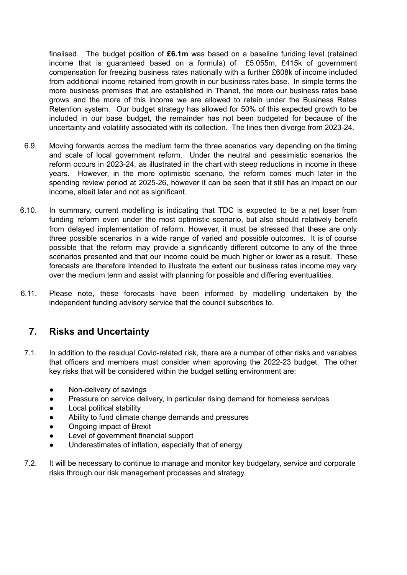finalised. The budget position of **£6.1m** was based on a baseline funding level (retained income that is guaranteed based on a formula) of £5.055m, £415k of government compensation for freezing business rates nationally with a further £608k of income included from additional income retained from growth in our business rates base. In simple terms the more business premises that are established in Thanet, the more our business rates base grows and the more of this income we are allowed to retain under the Business Rates Retention system. Our budget strategy has allowed for 50% of this expected growth to be included in our base budget, the remainder has not been budgeted for because of the uncertainty and volatility associated with its collection. The lines then diverge from 2023-24.

- 6.9. Moving forwards across the medium term the three scenarios vary depending on the timing and scale of local government reform. Under the neutral and pessimistic scenarios the reform occurs in 2023-24, as illustrated in the chart with steep reductions in income in these years. However, in the more optimistic scenario, the reform comes much later in the spending review period at 2025-26, however it can be seen that it still has an impact on our income, albeit later and not as significant.
- 6.10. In summary, current modelling is indicating that TDC is expected to be a net loser from funding reform even under the most optimistic scenario, but also should relatively benefit from delayed implementation of reform. However, it must be stressed that these are only three possible scenarios in a wide range of varied and possible outcomes. It is of course possible that the reform may provide a significantly different outcome to any of the three scenarios presented and that our income could be much higher or lower as a result. These forecasts are therefore intended to illustrate the extent our business rates income may vary over the medium term and assist with planning for possible and differing eventualities.
- 6.11. Please note, these forecasts have been informed by modelling undertaken by the independent funding advisory service that the council subscribes to.

## **7. Risks and Uncertainty**

- 7.1. In addition to the residual Covid-related risk, there are a number of other risks and variables that officers and members must consider when approving the 2022-23 budget. The other key risks that will be considered within the budget setting environment are:
	- Non-delivery of savings
	- Pressure on service delivery, in particular rising demand for homeless services
	- Local political stability
	- Ability to fund climate change demands and pressures
	- Ongoing impact of Brexit
	- Level of government financial support
	- Underestimates of inflation, especially that of energy.
- 7.2. It will be necessary to continue to manage and monitor key budgetary, service and corporate risks through our risk management processes and strategy.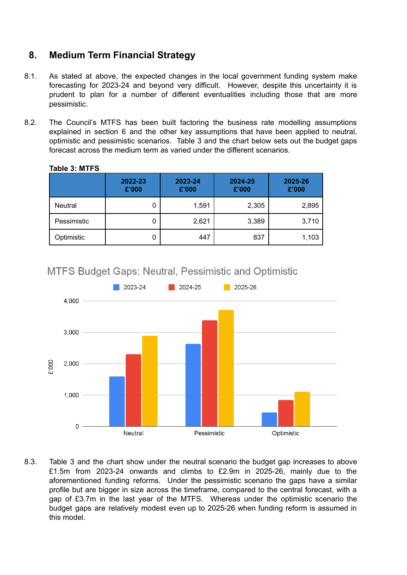# **8. Medium Term Financial Strategy**

- 8.1. As stated at above, the expected changes in the local government funding system make forecasting for 2023-24 and beyond very difficult. However, despite this uncertainty it is prudent to plan for a number of different eventualities including those that are more pessimistic.
- 8.2. The Council's MTFS has been built factoring the business rate modelling assumptions explained in section 6 and the other key assumptions that have been applied to neutral, optimistic and pessimistic scenarios. Table 3 and the chart below sets out the budget gaps forecast across the medium term as varied under the different scenarios.

|                | 2022-23<br>£'000 | 2023-24<br>£'000 | 2024-25<br>£'000 | 2025-26<br>£'000 |
|----------------|------------------|------------------|------------------|------------------|
| <b>Neutral</b> | U                | 1,591            | 2,305            | 2,895            |
| Pessimistic    |                  | 2,621            | 3,389            | 3,710            |
| Optimistic     |                  | 447              | 837              | 1,103            |

## **Table 3: MTFS**

# **MTFS Budget Gaps: Neutral, Pessimistic and Optimistic**



8.3. Table 3 and the chart show under the neutral scenario the budget gap increases to above £1.5m from 2023-24 onwards and climbs to £2.9m in 2025-26, mainly due to the aforementioned funding reforms. Under the pessimistic scenario the gaps have a similar profile but are bigger in size across the timeframe, compared to the central forecast, with a gap of £3.7m in the last year of the MTFS. Whereas under the optimistic scenario the budget gaps are relatively modest even up to 2025-26 when funding reform is assumed in this model.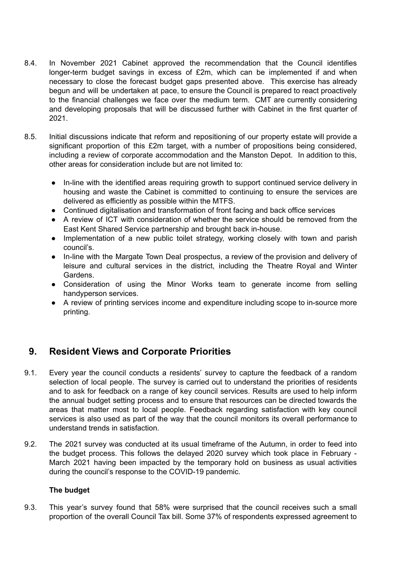- 8.4. In November 2021 Cabinet approved the recommendation that the Council identifies longer-term budget savings in excess of £2m, which can be implemented if and when necessary to close the forecast budget gaps presented above. This exercise has already begun and will be undertaken at pace, to ensure the Council is prepared to react proactively to the financial challenges we face over the medium term. CMT are currently considering and developing proposals that will be discussed further with Cabinet in the first quarter of 2021.
- 8.5. Initial discussions indicate that reform and repositioning of our property estate will provide a significant proportion of this £2m target, with a number of propositions being considered, including a review of corporate accommodation and the Manston Depot. In addition to this, other areas for consideration include but are not limited to:
	- In-line with the identified areas requiring growth to support continued service delivery in housing and waste the Cabinet is committed to continuing to ensure the services are delivered as efficiently as possible within the MTFS.
	- Continued digitalisation and transformation of front facing and back office services
	- A review of ICT with consideration of whether the service should be removed from the East Kent Shared Service partnership and brought back in-house.
	- Implementation of a new public toilet strategy, working closely with town and parish council's.
	- In-line with the Margate Town Deal prospectus, a review of the provision and delivery of leisure and cultural services in the district, including the Theatre Royal and Winter Gardens.
	- Consideration of using the Minor Works team to generate income from selling handyperson services.
	- A review of printing services income and expenditure including scope to in-source more printing.

# **9. Resident Views and Corporate Priorities**

- 9.1. Every year the council conducts a residents' survey to capture the feedback of a random selection of local people. The survey is carried out to understand the priorities of residents and to ask for feedback on a range of key council services. Results are used to help inform the annual budget setting process and to ensure that resources can be directed towards the areas that matter most to local people. Feedback regarding satisfaction with key council services is also used as part of the way that the council monitors its overall performance to understand trends in satisfaction.
- 9.2. The 2021 survey was conducted at its usual timeframe of the Autumn, in order to feed into the budget process. This follows the delayed 2020 survey which took place in February - March 2021 having been impacted by the temporary hold on business as usual activities during the council's response to the COVID-19 pandemic.

#### **The budget**

9.3. This year's survey found that 58% were surprised that the council receives such a small proportion of the overall Council Tax bill. Some 37% of respondents expressed agreement to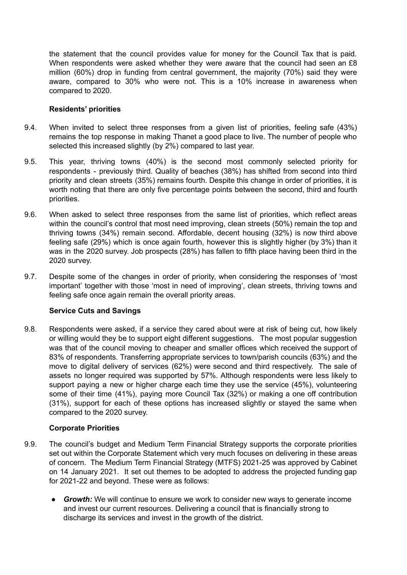the statement that the council provides value for money for the Council Tax that is paid. When respondents were asked whether they were aware that the council had seen an £8 million (60%) drop in funding from central government, the majority (70%) said they were aware, compared to 30% who were not. This is a 10% increase in awareness when compared to 2020.

#### **Residents' priorities**

- 9.4. When invited to select three responses from a given list of priorities, feeling safe (43%) remains the top response in making Thanet a good place to live. The number of people who selected this increased slightly (by 2%) compared to last year.
- 9.5. This year, thriving towns (40%) is the second most commonly selected priority for respondents - previously third. Quality of beaches (38%) has shifted from second into third priority and clean streets (35%) remains fourth. Despite this change in order of priorities, it is worth noting that there are only five percentage points between the second, third and fourth priorities.
- 9.6. When asked to select three responses from the same list of priorities, which reflect areas within the council's control that most need improving, clean streets (50%) remain the top and thriving towns (34%) remain second. Affordable, decent housing (32%) is now third above feeling safe (29%) which is once again fourth, however this is slightly higher (by 3%) than it was in the 2020 survey. Job prospects (28%) has fallen to fifth place having been third in the 2020 survey.
- 9.7. Despite some of the changes in order of priority, when considering the responses of 'most important' together with those 'most in need of improving', clean streets, thriving towns and feeling safe once again remain the overall priority areas.

### **Service Cuts and Savings**

9.8. Respondents were asked, if a service they cared about were at risk of being cut, how likely or willing would they be to support eight different suggestions. The most popular suggestion was that of the council moving to cheaper and smaller offices which received the support of 83% of respondents. Transferring appropriate services to town/parish councils (63%) and the move to digital delivery of services (62%) were second and third respectively. The sale of assets no longer required was supported by 57%. Although respondents were less likely to support paying a new or higher charge each time they use the service (45%), volunteering some of their time (41%), paying more Council Tax (32%) or making a one off contribution (31%), support for each of these options has increased slightly or stayed the same when compared to the 2020 survey.

#### **Corporate Priorities**

- 9.9. The council's budget and Medium Term Financial Strategy supports the corporate priorities set out within the Corporate Statement which very much focuses on delivering in these areas of concern. The Medium Term Financial Strategy (MTFS) 2021-25 was approved by Cabinet on 14 January 2021. It set out themes to be adopted to address the projected funding gap for 2021-22 and beyond. These were as follows:
	- *Growth:* We will continue to ensure we work to consider new ways to generate income and invest our current resources. Delivering a council that is financially strong to discharge its services and invest in the growth of the district.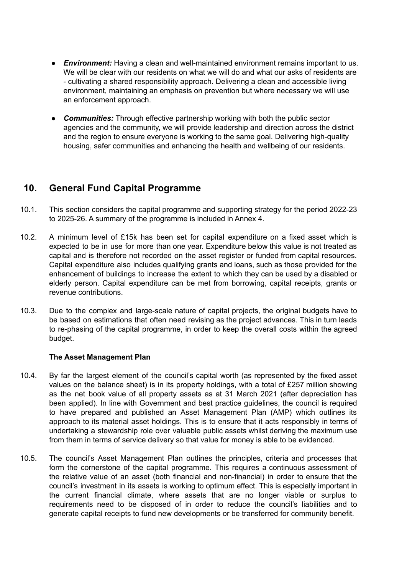- *Environment:* Having a clean and well-maintained environment remains important to us. We will be clear with our residents on what we will do and what our asks of residents are - cultivating a shared responsibility approach. Delivering a clean and accessible living environment, maintaining an emphasis on prevention but where necessary we will use an enforcement approach.
- *Communities:* Through effective partnership working with both the public sector agencies and the community, we will provide leadership and direction across the district and the region to ensure everyone is working to the same goal. Delivering high-quality housing, safer communities and enhancing the health and wellbeing of our residents.

# **10. General Fund Capital Programme**

- 10.1. This section considers the capital programme and supporting strategy for the period 2022-23 to 2025-26. A summary of the programme is included in Annex 4.
- 10.2. A minimum level of £15k has been set for capital expenditure on a fixed asset which is expected to be in use for more than one year. Expenditure below this value is not treated as capital and is therefore not recorded on the asset register or funded from capital resources. Capital expenditure also includes qualifying grants and loans, such as those provided for the enhancement of buildings to increase the extent to which they can be used by a disabled or elderly person. Capital expenditure can be met from borrowing, capital receipts, grants or revenue contributions.
- 10.3. Due to the complex and large-scale nature of capital projects, the original budgets have to be based on estimations that often need revising as the project advances. This in turn leads to re-phasing of the capital programme, in order to keep the overall costs within the agreed budget.

#### **The Asset Management Plan**

- 10.4. By far the largest element of the council's capital worth (as represented by the fixed asset values on the balance sheet) is in its property holdings, with a total of £257 million showing as the net book value of all property assets as at 31 March 2021 (after depreciation has been applied). In line with Government and best practice guidelines, the council is required to have prepared and published an Asset Management Plan (AMP) which outlines its approach to its material asset holdings. This is to ensure that it acts responsibly in terms of undertaking a stewardship role over valuable public assets whilst deriving the maximum use from them in terms of service delivery so that value for money is able to be evidenced.
- 10.5. The council's Asset Management Plan outlines the principles, criteria and processes that form the cornerstone of the capital programme. This requires a continuous assessment of the relative value of an asset (both financial and non-financial) in order to ensure that the council's investment in its assets is working to optimum effect. This is especially important in the current financial climate, where assets that are no longer viable or surplus to requirements need to be disposed of in order to reduce the council's liabilities and to generate capital receipts to fund new developments or be transferred for community benefit.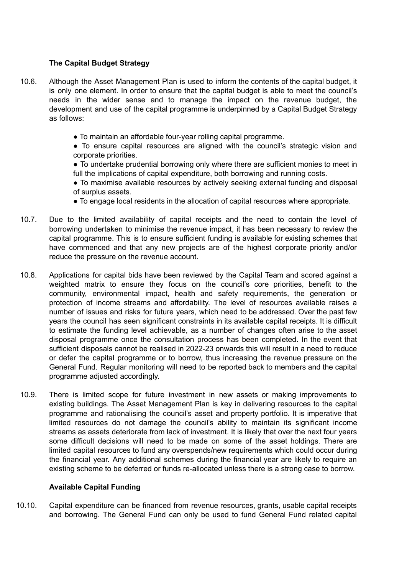### **The Capital Budget Strategy**

- 10.6. Although the Asset Management Plan is used to inform the contents of the capital budget, it is only one element. In order to ensure that the capital budget is able to meet the council's needs in the wider sense and to manage the impact on the revenue budget, the development and use of the capital programme is underpinned by a Capital Budget Strategy as follows:
	- To maintain an affordable four-year rolling capital programme.

● To ensure capital resources are aligned with the council's strategic vision and corporate priorities.

● To undertake prudential borrowing only where there are sufficient monies to meet in full the implications of capital expenditure, both borrowing and running costs.

● To maximise available resources by actively seeking external funding and disposal of surplus assets.

- To engage local residents in the allocation of capital resources where appropriate.
- 10.7. Due to the limited availability of capital receipts and the need to contain the level of borrowing undertaken to minimise the revenue impact, it has been necessary to review the capital programme. This is to ensure sufficient funding is available for existing schemes that have commenced and that any new projects are of the highest corporate priority and/or reduce the pressure on the revenue account.
- 10.8. Applications for capital bids have been reviewed by the Capital Team and scored against a weighted matrix to ensure they focus on the council's core priorities, benefit to the community, environmental impact, health and safety requirements, the generation or protection of income streams and affordability. The level of resources available raises a number of issues and risks for future years, which need to be addressed. Over the past few years the council has seen significant constraints in its available capital receipts. It is difficult to estimate the funding level achievable, as a number of changes often arise to the asset disposal programme once the consultation process has been completed. In the event that sufficient disposals cannot be realised in 2022-23 onwards this will result in a need to reduce or defer the capital programme or to borrow, thus increasing the revenue pressure on the General Fund. Regular monitoring will need to be reported back to members and the capital programme adjusted accordingly.
- 10.9. There is limited scope for future investment in new assets or making improvements to existing buildings. The Asset Management Plan is key in delivering resources to the capital programme and rationalising the council's asset and property portfolio. It is imperative that limited resources do not damage the council's ability to maintain its significant income streams as assets deteriorate from lack of investment. It is likely that over the next four years some difficult decisions will need to be made on some of the asset holdings. There are limited capital resources to fund any overspends/new requirements which could occur during the financial year. Any additional schemes during the financial year are likely to require an existing scheme to be deferred or funds re-allocated unless there is a strong case to borrow.

#### **Available Capital Funding**

10.10. Capital expenditure can be financed from revenue resources, grants, usable capital receipts and borrowing. The General Fund can only be used to fund General Fund related capital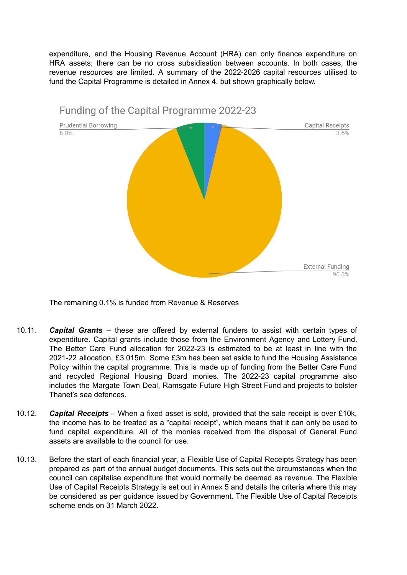expenditure, and the Housing Revenue Account (HRA) can only finance expenditure on HRA assets; there can be no cross subsidisation between accounts. In both cases, the revenue resources are limited. A summary of the 2022-2026 capital resources utilised to fund the Capital Programme is detailed in Annex 4, but shown graphically below.



The remaining 0.1% is funded from Revenue & Reserves

- 10.11. *Capital Grants* these are offered by external funders to assist with certain types of expenditure. Capital grants include those from the Environment Agency and Lottery Fund. The Better Care Fund allocation for 2022-23 is estimated to be at least in line with the 2021-22 allocation, £3.015m. Some £3m has been set aside to fund the Housing Assistance Policy within the capital programme. This is made up of funding from the Better Care Fund and recycled Regional Housing Board monies. The 2022-23 capital programme also includes the Margate Town Deal, Ramsgate Future High Street Fund and projects to bolster Thanet's sea defences.
- 10.12. *Capital Receipts* When a fixed asset is sold, provided that the sale receipt is over £10k, the income has to be treated as a "capital receipt", which means that it can only be used to fund capital expenditure. All of the monies received from the disposal of General Fund assets are available to the council for use.
- 10.13. Before the start of each financial year, a Flexible Use of Capital Receipts Strategy has been prepared as part of the annual budget documents. This sets out the circumstances when the council can capitalise expenditure that would normally be deemed as revenue. The Flexible Use of Capital Receipts Strategy is set out in Annex 5 and details the criteria where this may be considered as per guidance issued by Government. The Flexible Use of Capital Receipts scheme ends on 31 March 2022.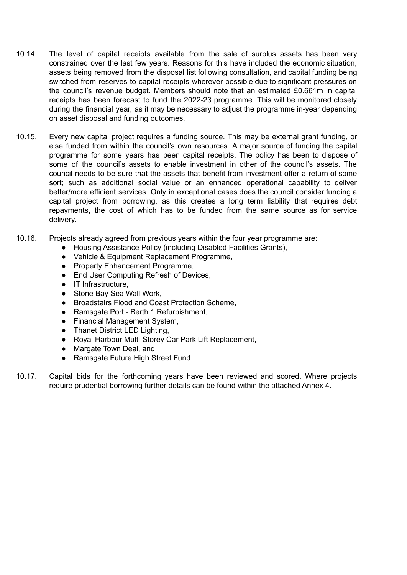- 10.14. The level of capital receipts available from the sale of surplus assets has been very constrained over the last few years. Reasons for this have included the economic situation, assets being removed from the disposal list following consultation, and capital funding being switched from reserves to capital receipts wherever possible due to significant pressures on the council's revenue budget. Members should note that an estimated £0.661m in capital receipts has been forecast to fund the 2022-23 programme. This will be monitored closely during the financial year, as it may be necessary to adjust the programme in-year depending on asset disposal and funding outcomes.
- 10.15. Every new capital project requires a funding source. This may be external grant funding, or else funded from within the council's own resources. A major source of funding the capital programme for some years has been capital receipts. The policy has been to dispose of some of the council's assets to enable investment in other of the council's assets. The council needs to be sure that the assets that benefit from investment offer a return of some sort; such as additional social value or an enhanced operational capability to deliver better/more efficient services. Only in exceptional cases does the council consider funding a capital project from borrowing, as this creates a long term liability that requires debt repayments, the cost of which has to be funded from the same source as for service delivery.
- 10.16. Projects already agreed from previous years within the four year programme are:
	- Housing Assistance Policy (including Disabled Facilities Grants),
	- Vehicle & Equipment Replacement Programme,
	- Property Enhancement Programme,
	- End User Computing Refresh of Devices,
	- IT Infrastructure,
	- Stone Bay Sea Wall Work,
	- Broadstairs Flood and Coast Protection Scheme,
	- Ramsgate Port Berth 1 Refurbishment,
	- Financial Management System,
	- Thanet District LED Lighting,
	- Royal Harbour Multi-Storey Car Park Lift Replacement,
	- Margate Town Deal, and
	- Ramsgate Future High Street Fund.
- 10.17. Capital bids for the forthcoming years have been reviewed and scored. Where projects require prudential borrowing further details can be found within the attached Annex 4.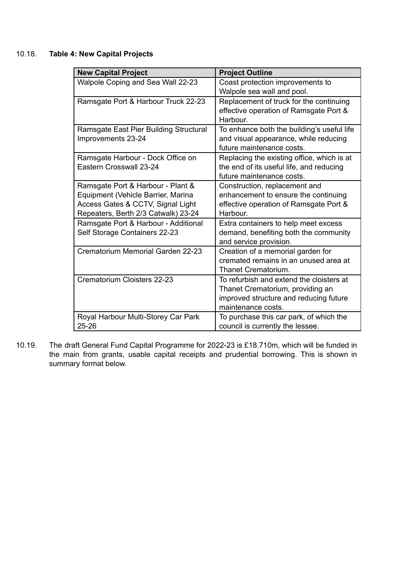## 10.18. **Table 4: New Capital Projects**

| <b>New Capital Project</b>             | <b>Project Outline</b>                     |
|----------------------------------------|--------------------------------------------|
| Walpole Coping and Sea Wall 22-23      | Coast protection improvements to           |
|                                        | Walpole sea wall and pool.                 |
| Ramsgate Port & Harbour Truck 22-23    | Replacement of truck for the continuing    |
|                                        | effective operation of Ramsgate Port &     |
|                                        | Harbour.                                   |
| Ramsgate East Pier Building Structural | To enhance both the building's useful life |
| Improvements 23-24                     | and visual appearance, while reducing      |
|                                        | future maintenance costs.                  |
| Ramsgate Harbour - Dock Office on      | Replacing the existing office, which is at |
| Eastern Crosswall 23-24                | the end of its useful life, and reducing   |
|                                        | future maintenance costs.                  |
| Ramsgate Port & Harbour - Plant &      | Construction, replacement and              |
| Equipment (Vehicle Barrier, Marina     | enhancement to ensure the continuing       |
| Access Gates & CCTV, Signal Light      | effective operation of Ramsgate Port &     |
| Repeaters, Berth 2/3 Catwalk) 23-24    | Harbour.                                   |
| Ramsgate Port & Harbour - Additional   | Extra containers to help meet excess       |
| Self Storage Containers 22-23          | demand, benefiting both the community      |
|                                        | and service provision.                     |
| Crematorium Memorial Garden 22-23      | Creation of a memorial garden for          |
|                                        | cremated remains in an unused area at      |
|                                        | Thanet Crematorium.                        |
| Crematorium Cloisters 22-23            | To refurbish and extend the cloisters at   |
|                                        | Thanet Crematorium, providing an           |
|                                        | improved structure and reducing future     |
|                                        | maintenance costs.                         |
| Royal Harbour Multi-Storey Car Park    | To purchase this car park, of which the    |
| 25-26                                  | council is currently the lessee.           |

10.19. The draft General Fund Capital Programme for 2022-23 is £18.710m, which will be funded in the main from grants, usable capital receipts and prudential borrowing. This is shown in summary format below.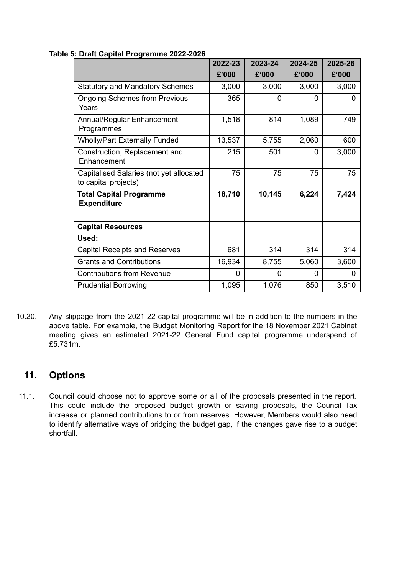#### **Table 5: Draft Capital Programme 2022-2026**

|                                                                 | 2022-23  | 2023-24  | 2024-25 | 2025-26 |
|-----------------------------------------------------------------|----------|----------|---------|---------|
|                                                                 | £'000    | £'000    | £'000   | £'000   |
| <b>Statutory and Mandatory Schemes</b>                          | 3,000    | 3,000    | 3,000   | 3,000   |
| <b>Ongoing Schemes from Previous</b><br>Years                   | 365      | $\Omega$ | 0       | 0       |
| Annual/Regular Enhancement<br>Programmes                        | 1,518    | 814      | 1,089   | 749     |
| <b>Wholly/Part Externally Funded</b>                            | 13,537   | 5,755    | 2,060   | 600     |
| Construction, Replacement and<br>Enhancement                    | 215      | 501      | 0       | 3,000   |
| Capitalised Salaries (not yet allocated<br>to capital projects) | 75       | 75       | 75      | 75      |
| <b>Total Capital Programme</b><br><b>Expenditure</b>            | 18,710   | 10,145   | 6,224   | 7,424   |
|                                                                 |          |          |         |         |
| <b>Capital Resources</b>                                        |          |          |         |         |
| Used:                                                           |          |          |         |         |
| <b>Capital Receipts and Reserves</b>                            | 681      | 314      | 314     | 314     |
| <b>Grants and Contributions</b>                                 | 16,934   | 8,755    | 5,060   | 3,600   |
| <b>Contributions from Revenue</b>                               | $\Omega$ | 0        | 0       | 0       |
| <b>Prudential Borrowing</b>                                     | 1,095    | 1,076    | 850     | 3,510   |

10.20. Any slippage from the 2021-22 capital programme will be in addition to the numbers in the above table. For example, the Budget Monitoring Report for the 18 November 2021 Cabinet meeting gives an estimated 2021-22 General Fund capital programme underspend of £5.731m.

# **11. Options**

11.1. Council could choose not to approve some or all of the proposals presented in the report. This could include the proposed budget growth or saving proposals, the Council Tax increase or planned contributions to or from reserves. However, Members would also need to identify alternative ways of bridging the budget gap, if the changes gave rise to a budget shortfall.